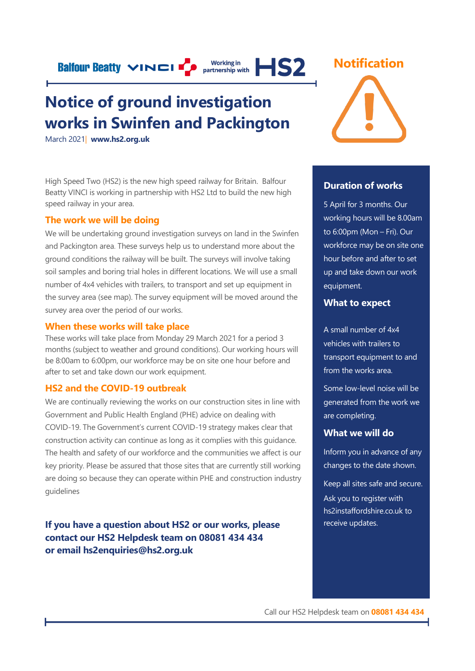## **Balfour Beatty VINCI Propertieship with HS2**

## **Notice of ground investigation works in Swinfen and Packington**

March 2021| **[www.hs2.org.uk](http://www.hs2.org.uk/)**

High Speed Two (HS2) is the new high speed railway for Britain. Balfour Beatty VINCI is working in partnership with HS2 Ltd to build the new high speed railway in your area.

#### **The work we will be doing**

We will be undertaking ground investigation surveys on land in the Swinfen and Packington area. These surveys help us to understand more about the ground conditions the railway will be built. The surveys will involve taking soil samples and boring trial holes in different locations. We will use a small number of 4x4 vehicles with trailers, to transport and set up equipment in the survey area (see map). The survey equipment will be moved around the survey area over the period of our works.

#### **When these works will take place**

These works will take place from Monday 29 March 2021 for a period 3 months (subject to weather and ground conditions). Our working hours will be 8:00am to 6:00pm, our workforce may be on site one hour before and after to set and take down our work equipment.

#### **HS2 and the COVID-19 outbreak**

We are continually reviewing the works on our construction sites in line with Government and Public Health England (PHE) advice on dealing with COVID-19. The Government's current COVID-19 strategy makes clear that construction activity can continue as long as it complies with this guidance. The health and safety of our workforce and the communities we affect is our key priority. Please be assured that those sites that are currently still working are doing so because they can operate within PHE and construction industry guidelines

#### **If you have a question about HS2 or our works, please contact our HS2 Helpdesk team on 08081 434 434 or email hs2enquiries@hs2.org.uk**

# **Notification**

#### **Duration of works**

5 April for 3 months. Our working hours will be 8.00am to 6:00pm (Mon – Fri). Our workforce may be on site one hour before and after to set up and take down our work equipment.

#### **What to expect**

A small number of 4x4 vehicles with trailers to transport equipment to and from the works area.

Some low-level noise will be generated from the work we are completing.

#### **What we will do**

Inform you in advance of any changes to the date shown.

Keep all sites safe and secure.

Ask you to register with hs2instaffordshire.co.uk to receive updates.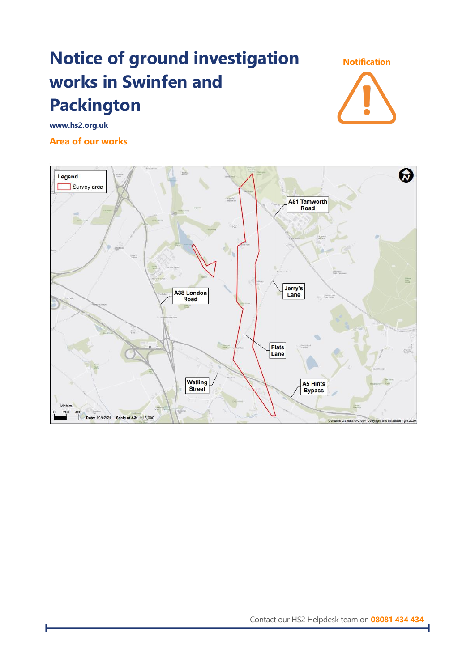## **Notice of ground investigation works in Swinfen and Packington**

**Notification**



**www.hs2.org.uk**

**Area of our works**

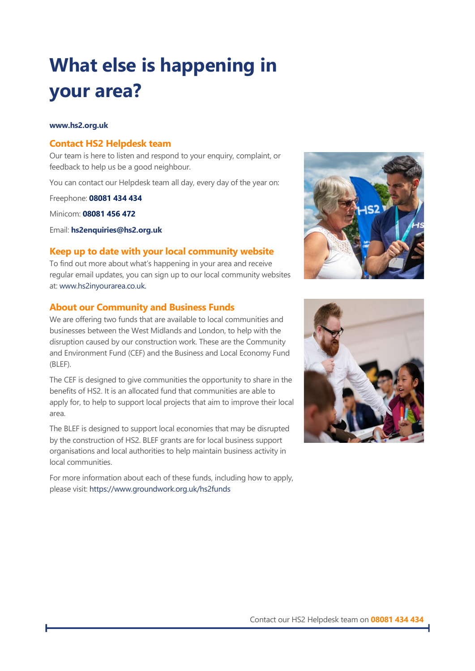# **What else is happening in your area?**

#### **www.hs2.org.uk**

#### **Contact HS2 Helpdesk team**

Our team is here to listen and respond to your enquiry, complaint, or feedback to help us be a good neighbour.

You can contact our Helpdesk team all day, every day of the year on:

Freephone: **08081 434 434**

Minicom: **08081 456 472**

Email: **[hs2enquiries@hs2.org.uk](mailto:hs2enquiries@hs2.org.uk)**

#### **Keep up to date with your local community website**

To find out more about what's happening in your area and receive regular email updates, you can sign up to our local community websites at[: www.hs2inyourarea.co.uk.](http://www.hs2inyourarea.co.uk/)

#### **About our Community and Business Funds**

We are offering two funds that are available to local communities and businesses between the West Midlands and London, to help with the disruption caused by our construction work. These are the Community and Environment Fund (CEF) and the Business and Local Economy Fund (BLEF).

The CEF is designed to give communities the opportunity to share in the benefits of HS2. It is an allocated fund that communities are able to apply for, to help to support local projects that aim to improve their local area.

The BLEF is designed to support local economies that may be disrupted by the construction of HS2. BLEF grants are for local business support organisations and local authorities to help maintain business activity in local communities.

For more information about each of these funds, including how to apply, please visit:<https://www.groundwork.org.uk/hs2funds>